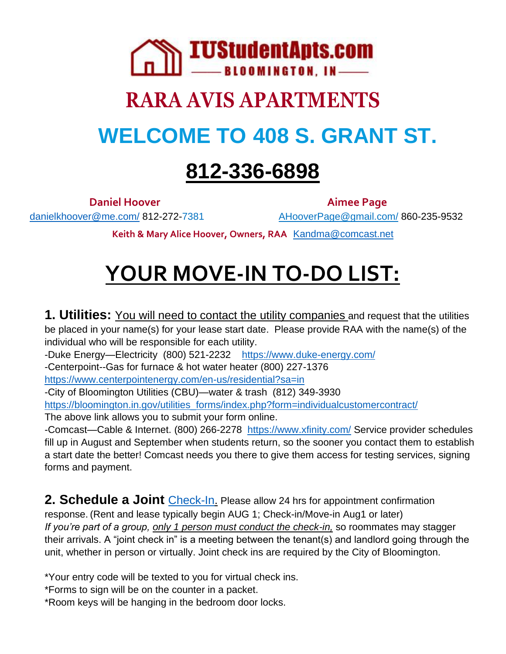

# **RARA AVIS APARTMENTS WELCOME TO 408 S. GRANT ST.**

### **812-336-6898**

[danielkhoover@me.com/](mailto:danielkhoover@me.com/)812-272-7381 [AHooverPage@gmail.com/](mailto:AHooverPage@gmail.com/)860-235-9532

**Daniel Hoover Aimee Page** 

**Keith & Mary Alice Hoover, Owners, RAA** [Kandma@comcast.net](mailto:Kandma@comcast.net)

## **YOUR MOVE-IN TO-DO LIST:**

**1. Utilities:** You will need to contact the utility companies and request that the utilities be placed in your name(s) for your lease start date. Please provide RAA with the name(s) of the individual who will be responsible for each utility.

-Duke Energy-Electricity (800) 521-2232 <https://www.duke-energy.com/>

-Centerpoint--Gas for furnace & hot water heater (800) 227-1376

<https://www.centerpointenergy.com/en-us/residential?sa=in>

-City of Bloomington Utilities (CBU)—water & trash (812) 349-3930

[https://bloomington.in.gov/utilities\\_forms/index.php?form=individualcustomercontract/](https://bloomington.in.gov/utilities_forms/index.php?form=individualcustomercontract/)

The above link allows you to submit your form online.

-Comcast—Cable & Internet. (800) 266-2278 <https://www.xfinity.com/> Service provider schedules fill up in August and September when students return, so the sooner you contact them to establish a start date the better! Comcast needs you there to give them access for testing services, signing forms and payment.

**2. Schedule a Joint** [Check-In.](https://docs.google.com/spreadsheets/d/1z8hJ2M80sDJfa7ZzQZCw8CHTu85kFSvb5JmIEA8GiPg/edit#gid=0) Please allow 24 hrs for appointment confirmation response. (Rent and lease typically begin AUG 1; Check-in/Move-in Aug1 or later) *If you're part of a group, only 1 person must conduct the check-in,* so roommates may stagger their arrivals. A "joint check in" is a meeting between the tenant(s) and landlord going through the unit, whether in person or virtually. Joint check ins are required by the City of Bloomington.

\*Your entry code will be texted to you for virtual check ins.

\*Forms to sign will be on the counter in a packet.

\*Room keys will be hanging in the bedroom door locks.